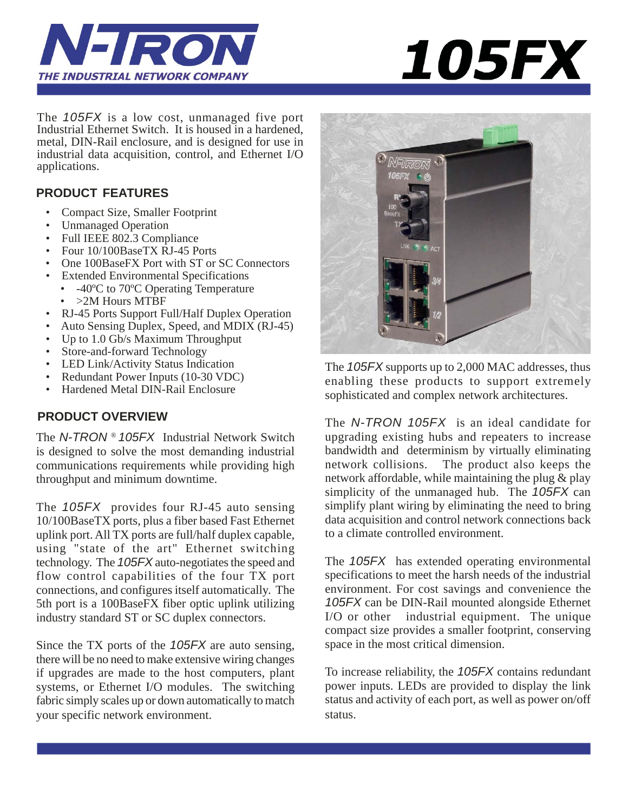



The *105FX* is a low cost, unmanaged five port Industrial Ethernet Switch. It is housed in a hardened, metal, DIN-Rail enclosure, and is designed for use in industrial data acquisition, control, and Ethernet I/O applications.

## **PRODUCT FEATURES**

- Compact Size, Smaller Footprint
- Unmanaged Operation
- Full IEEE 802.3 Compliance
- Four 10/100BaseTX RJ-45 Ports
- One 100BaseFX Port with ST or SC Connectors
- Extended Environmental Specifications
	- -40<sup>o</sup>C to 70<sup>o</sup>C Operating Temperature
	- >2M Hours MTBF
- RJ-45 Ports Support Full/Half Duplex Operation
- Auto Sensing Duplex, Speed, and MDIX (RJ-45)
- Up to 1.0 Gb/s Maximum Throughput
- Store-and-forward Technology
- LED Link/Activity Status Indication
- Redundant Power Inputs (10-30 VDC)
- Hardened Metal DIN-Rail Enclosure

# **PRODUCT OVERVIEW**

The *N-TRON* ® *105FX* Industrial Network Switch is designed to solve the most demanding industrial communications requirements while providing high throughput and minimum downtime.

The *105FX* provides four RJ-45 auto sensing 10/100BaseTX ports, plus a fiber based Fast Ethernet uplink port. All TX ports are full/half duplex capable, using "state of the art" Ethernet switching technology. The *105FX* auto-negotiates the speed and flow control capabilities of the four TX port connections, and configures itself automatically. The 5th port is a 100BaseFX fiber optic uplink utilizing industry standard ST or SC duplex connectors.

Since the TX ports of the *105FX* are auto sensing, there will be no need to make extensive wiring changes if upgrades are made to the host computers, plant systems, or Ethernet I/O modules. The switching fabric simply scales up or down automatically to match your specific network environment.



The *105FX* supports up to 2,000 MAC addresses, thus enabling these products to support extremely sophisticated and complex network architectures.

The *N-TRON 105FX* is an ideal candidate for upgrading existing hubs and repeaters to increase bandwidth and determinism by virtually eliminating<br>network collisions. The product also keeps the The product also keeps the network affordable, while maintaining the plug & play simplicity of the unmanaged hub. The *105FX* can simplify plant wiring by eliminating the need to bring data acquisition and control network connections back to a climate controlled environment.

The *105FX* has extended operating environmental specifications to meet the harsh needs of the industrial environment. For cost savings and convenience the *105FX* can be DIN-Rail mounted alongside Ethernet I/O or other industrial equipment. The unique compact size provides a smaller footprint, conserving space in the most critical dimension.

To increase reliability, the *105FX* contains redundant power inputs. LEDs are provided to display the link status and activity of each port, as well as power on/off status.